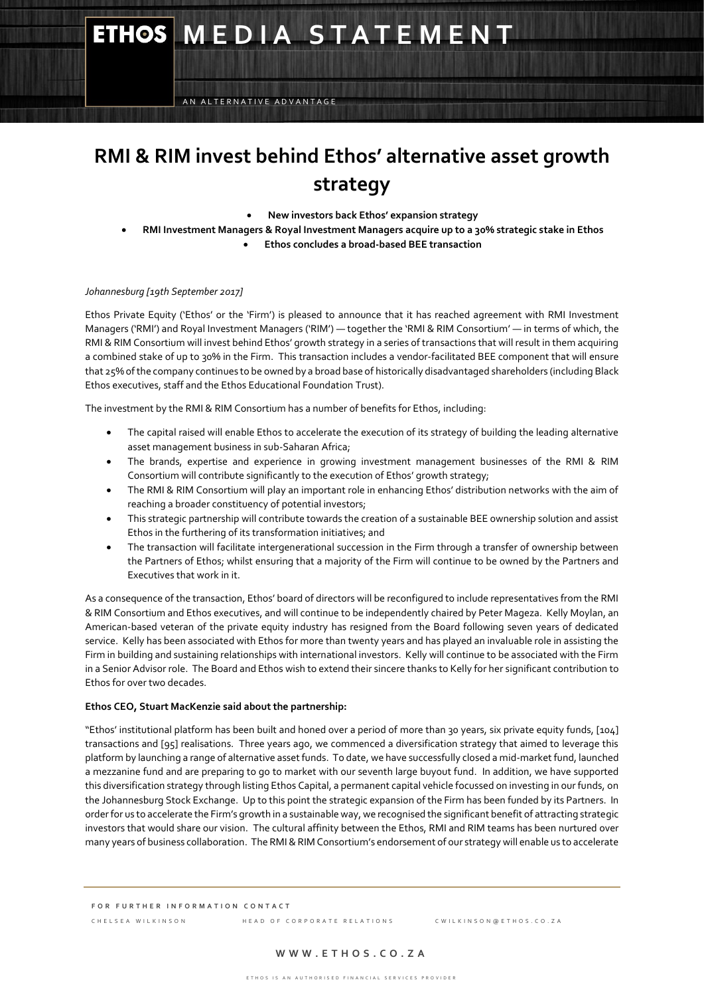# **ETHOS MEDIA STATEMENT**

AN ALTERNATIVE ADVANTAGE

# **RMI & RIM invest behind Ethos' alternative asset growth strategy**

- **New investors back Ethos' expansion strategy**
- **RMI Investment Managers & Royal Investment Managers acquire up to a 30% strategic stake in Ethos** 
	- **Ethos concludes a broad-based BEE transaction**

# *Johannesburg [19th September 2017]*

Ethos Private Equity ('Ethos' or the 'Firm') is pleased to announce that it has reached agreement with RMI Investment Managers ('RMI') and Royal Investment Managers ('RIM') — together the 'RMI & RIM Consortium' — in terms of which, the RMI & RIM Consortium will invest behind Ethos' growth strategy in a series of transactions that will result in them acquiring a combined stake of up to 30% in the Firm. This transaction includes a vendor-facilitated BEE component that will ensure that 25% of the company continues to be owned by a broad base of historically disadvantaged shareholders (including Black Ethos executives, staff and the Ethos Educational Foundation Trust).

The investment by the RMI & RIM Consortium has a number of benefits for Ethos, including:

- The capital raised will enable Ethos to accelerate the execution of its strategy of building the leading alternative asset management business in sub-Saharan Africa;
- The brands, expertise and experience in growing investment management businesses of the RMI & RIM Consortium will contribute significantly to the execution of Ethos' growth strategy;
- The RMI & RIM Consortium will play an important role in enhancing Ethos' distribution networks with the aim of reaching a broader constituency of potential investors;
- This strategic partnership will contribute towards the creation of a sustainable BEE ownership solution and assist Ethos in the furthering of its transformation initiatives; and
- The transaction will facilitate intergenerational succession in the Firm through a transfer of ownership between the Partners of Ethos; whilst ensuring that a majority of the Firm will continue to be owned by the Partners and Executives that work in it.

As a consequence of the transaction, Ethos' board of directors will be reconfigured to include representatives from the RMI & RIM Consortium and Ethos executives, and will continue to be independently chaired by Peter Mageza. Kelly Moylan, an American-based veteran of the private equity industry has resigned from the Board following seven years of dedicated service. Kelly has been associated with Ethos for more than twenty years and has played an invaluable role in assisting the Firm in building and sustaining relationships with international investors. Kelly will continue to be associated with the Firm in a Senior Advisor role. The Board and Ethos wish to extend their sincere thanks to Kelly for her significant contribution to Ethos for over two decades.

## **Ethos CEO, Stuart MacKenzie said about the partnership:**

"Ethos' institutional platform has been built and honed over a period of more than 30 years, six private equity funds, [104] transactions and [95] realisations. Three years ago, we commenced a diversification strategy that aimed to leverage this platform by launching a range of alternative asset funds. To date, we have successfully closed a mid-market fund, launched a mezzanine fund and are preparing to go to market with our seventh large buyout fund. In addition, we have supported this diversification strategy through listing Ethos Capital, a permanent capital vehicle focussed on investing in our funds, on the Johannesburg Stock Exchange. Up to this point the strategic expansion of the Firm has been funded by its Partners. In order for us to accelerate the Firm's growth in a sustainable way, we recognised the significant benefit of attracting strategic investors that would share our vision. The cultural affinity between the Ethos, RMI and RIM teams has been nurtured over many years of business collaboration. The RMI & RIM Consortium's endorsement of our strategy will enable us to accelerate

C H E L S E L A H E L A D O F C O R POR A T E R E LATIONS COMPRET PRINTIPING COMPRETENCY OF THE ATTEMPT OF COMPRETENCY OF THE A T O F C O R A L A T L A T L A T L A T L A T L A T L A T L A T L A T L A T L A T L A T L A T L

## **W W W . E T H O S . C O . Z A**

**F O R F U R T H E R I N F O R M A T I O N C O N T A C T**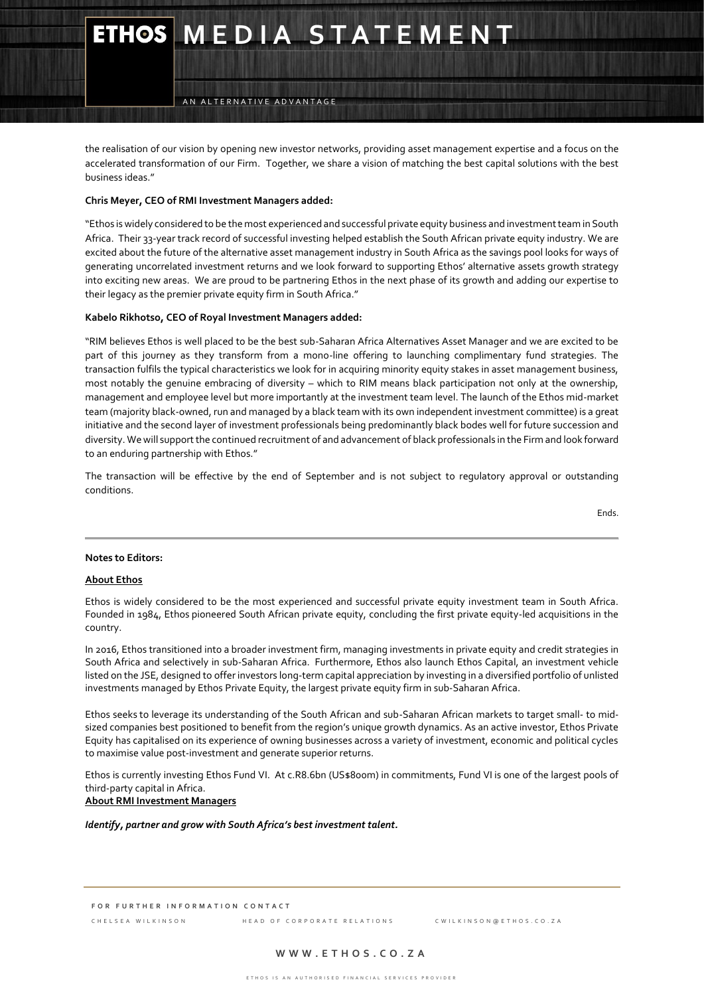# **ETHOS MEDIA STATEMENT**

AN ALTERNATIVE ADVANTAGE

the realisation of our vision by opening new investor networks, providing asset management expertise and a focus on the accelerated transformation of our Firm. Together, we share a vision of matching the best capital solutions with the best business ideas."

# **Chris Meyer, CEO of RMI Investment Managers added:**

"Ethos is widely considered to be the most experienced and successful private equity business and investment team in South Africa. Their 33-year track record of successful investing helped establish the South African private equity industry. We are excited about the future of the alternative asset management industry in South Africa as the savings pool looks for ways of generating uncorrelated investment returns and we look forward to supporting Ethos' alternative assets growth strategy into exciting new areas. We are proud to be partnering Ethos in the next phase of its growth and adding our expertise to their legacy as the premier private equity firm in South Africa."

#### **Kabelo Rikhotso, CEO of Royal Investment Managers added:**

"RIM believes Ethos is well placed to be the best sub-Saharan Africa Alternatives Asset Manager and we are excited to be part of this journey as they transform from a mono-line offering to launching complimentary fund strategies. The transaction fulfils the typical characteristics we look for in acquiring minority equity stakes in asset management business, most notably the genuine embracing of diversity – which to RIM means black participation not only at the ownership, management and employee level but more importantly at the investment team level. The launch of the Ethos mid-market team (majority black-owned, run and managed by a black team with its own independent investment committee) is a great initiative and the second layer of investment professionals being predominantly black bodes well for future succession and diversity. We will support the continued recruitment of and advancement of black professionals in the Firm and look forward to an enduring partnership with Ethos."

The transaction will be effective by the end of September and is not subject to regulatory approval or outstanding conditions.

Ends.

#### **Notes to Editors:**

#### **About Ethos**

Ethos is widely considered to be the most experienced and successful private equity investment team in South Africa. Founded in 1984, Ethos pioneered South African private equity, concluding the first private equity-led acquisitions in the country.

In 2016, Ethos transitioned into a broader investment firm, managing investments in private equity and credit strategies in South Africa and selectively in sub-Saharan Africa. Furthermore, Ethos also launch Ethos Capital, an investment vehicle listed on the JSE, designed to offer investors long-term capital appreciation by investing in a diversified portfolio of unlisted investments managed by Ethos Private Equity, the largest private equity firm in sub-Saharan Africa.

Ethos seeks to leverage its understanding of the South African and sub-Saharan African markets to target small- to midsized companies best positioned to benefit from the region's unique growth dynamics. As an active investor, Ethos Private Equity has capitalised on its experience of owning businesses across a variety of investment, economic and political cycles to maximise value post-investment and generate superior returns.

Ethos is currently investing Ethos [Fund](http://www.ethos.co.za/our-firm/businesses/private-equity/large-buyouts/ethos-fund-vi/) VI. At c.R8.6bn (US\$800m) in commitments, [Fund](http://www.ethos.co.za/our-firm/businesses/private-equity/large-buyouts/ethos-fund-vi/) VI is one of the largest pools of third-party capital in Africa.

**About RMI Investment Managers**

*Identify, partner and grow with South Africa's best investment talent.*

**F O R F U R T H E R I N F O R M A T I O N C O N T A C T**

C H E L S E A W I L K I N S O N H E A D O F C O R P O R A T E R E L A T I O N S C W I L K I N S O N @ E T H O S . C O . Z A

# **W W W . E T H O S . C O . Z A**